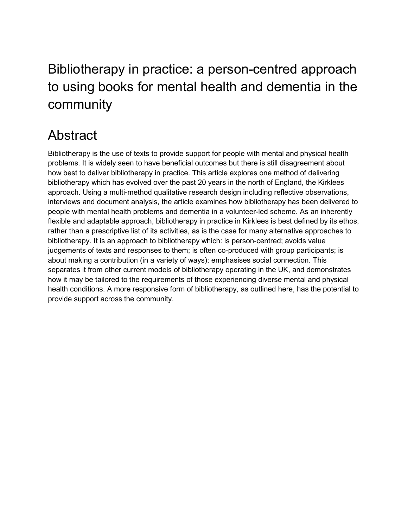# Bibliotherapy in practice: a person-centred approach to using books for mental health and dementia in the community

## Abstract

Bibliotherapy is the use of texts to provide support for people with mental and physical health problems. It is widely seen to have beneficial outcomes but there is still disagreement about how best to deliver bibliotherapy in practice. This article explores one method of delivering bibliotherapy which has evolved over the past 20 years in the north of England, the Kirklees approach. Using a multi-method qualitative research design including reflective observations, interviews and document analysis, the article examines how bibliotherapy has been delivered to people with mental health problems and dementia in a volunteer-led scheme. As an inherently flexible and adaptable approach, bibliotherapy in practice in Kirklees is best defined by its ethos, rather than a prescriptive list of its activities, as is the case for many alternative approaches to bibliotherapy. It is an approach to bibliotherapy which: is person-centred; avoids value judgements of texts and responses to them; is often co-produced with group participants; is about making a contribution (in a variety of ways); emphasises social connection. This separates it from other current models of bibliotherapy operating in the UK, and demonstrates how it may be tailored to the requirements of those experiencing diverse mental and physical health conditions. A more responsive form of bibliotherapy, as outlined here, has the potential to provide support across the community.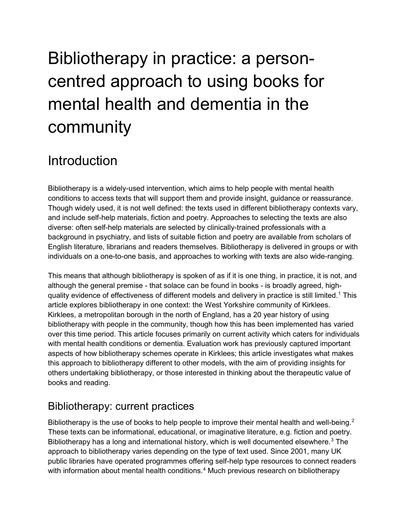# Bibliotherapy in practice: a personcentred approach to using books for mental health and dementia in the community

### Introduction

Bibliotherapy is a widely-used intervention, which aims to help people with mental health conditions to access texts that will support them and provide insight, guidance or reassurance. Though widely used, it is not well defined: the texts used in different bibliotherapy contexts vary, and include self-help materials, fiction and poetry. Approaches to selecting the texts are also diverse: often self-help materials are selected by clinically-trained professionals with a background in psychiatry, and lists of suitable fiction and poetry are available from scholars of English literature, librarians and readers themselves. Bibliotherapy is delivered in groups or with individuals on a one-to-one basis, and approaches to working with texts are also wide-ranging.

This means that although bibliotherapy is spoken of as if it is one thing, in practice, it is not, and although the general premise - that solace can be found in books - is broadly agreed, highquality evidence of effectiveness of different models and delivery in practice is still limited. [1](#page-2-0) This article explores bibliotherapy in one context: the West Yorkshire community of Kirklees. Kirklees, a metropolitan borough in the north of England, has a 20 year history of using bibliotherapy with people in the community, though how this has been implemented has varied over this time period. This article focuses primarily on current activity which caters for individuals with mental health conditions or dementia. Evaluation work has previously captured important aspects of how bibliotherapy schemes operate in Kirklees; this article investigates what makes this approach to bibliotherapy different to other models, with the aim of providing insights for others undertaking bibliotherapy, or those interested in thinking about the therapeutic value of books and reading.

#### Bibliotherapy: current practices

Bibliotherapy is the use of books to help people to improve their mental health and well-being.<sup>[2](#page-2-1)</sup> These texts can be informational, educational, or imaginative literature, e.g. fiction and poetry. Bibliotherapy has a long and international history, which is well documented elsewhere.<sup>[3](#page-2-2)</sup> The approach to bibliotherapy varies depending on the type of text used. Since 2001, many UK public libraries have operated programmes offering self-help type resources to connect readers with information about mental health conditions.<sup>[4](#page-2-3)</sup> Much previous research on bibliotherapy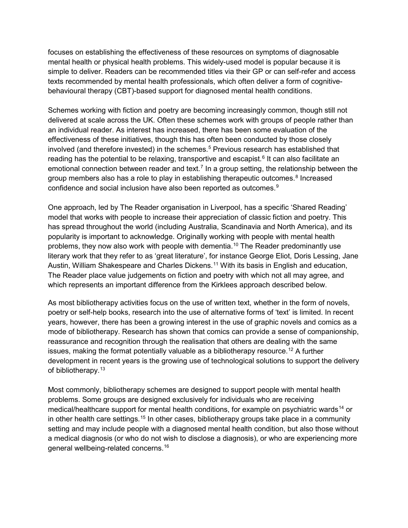focuses on establishing the effectiveness of these resources on symptoms of diagnosable mental health or physical health problems. This widely-used model is popular because it is simple to deliver. Readers can be recommended titles via their GP or can self-refer and access texts recommended by mental health professionals, which often deliver a form of cognitivebehavioural therapy (CBT)-based support for diagnosed mental health conditions.

Schemes working with fiction and poetry are becoming increasingly common, though still not delivered at scale across the UK. Often these schemes work with groups of people rather than an individual reader. As interest has increased, there has been some evaluation of the effectiveness of these initiatives, though this has often been conducted by those closely involved (and therefore invested) in the schemes.<sup>[5](#page-2-4)</sup> Previous research has established that reading has the potential to be relaxing, transportive and escapist.<sup>[6](#page-2-5)</sup> It can also facilitate an emotional connection between reader and text.<sup>[7](#page-2-6)</sup> In a group setting, the relationship between the group members also has a role to play in establishing therapeutic outcomes.<sup>[8](#page-2-7)</sup> Increased confidence and social inclusion have also been reported as outcomes.<sup>[9](#page-2-8)</sup>

<span id="page-2-2"></span><span id="page-2-1"></span><span id="page-2-0"></span>One approach, led by The Reader organisation in Liverpool, has a specific 'Shared Reading' model that works with people to increase their appreciation of classic fiction and poetry. This has spread throughout the world (including Australia, Scandinavia and North America), and its popularity is important to acknowledge. Originally working with people with mental health problems, they now also work with people with dementia.<sup>[10](#page-2-9)</sup> The Reader predominantly use literary work that they refer to as 'great literature', for instance George Eliot, Doris Lessing, Jane Austin, William Shakespeare and Charles Dickens.<sup>[11](#page-2-10)</sup> With its basis in English and education, The Reader place value judgements on fiction and poetry with which not all may agree, and which represents an important difference from the Kirklees approach described below.

<span id="page-2-5"></span><span id="page-2-4"></span><span id="page-2-3"></span>As most bibliotherapy activities focus on the use of written text, whether in the form of novels, poetry or self-help books, research into the use of alternative forms of 'text' is limited. In recent years, however, there has been a growing interest in the use of graphic novels and comics as a mode of bibliotherapy. Research has shown that comics can provide a sense of companionship, reassurance and recognition through the realisation that others are dealing with the same issues, making the format potentially valuable as a bibliotherapy resource.<sup>[12](#page-3-0)</sup> A further development in recent years is the growing use of technological solutions to support the delivery of bibliotherapy.<sup>[13](#page-3-1)</sup>

<span id="page-2-10"></span><span id="page-2-9"></span><span id="page-2-8"></span><span id="page-2-7"></span><span id="page-2-6"></span>Most commonly, bibliotherapy schemes are designed to support people with mental health problems. Some groups are designed exclusively for individuals who are receiving medical/healthcare support for mental health conditions, for example on psychiatric wards<sup>[14](#page-3-2)</sup> or in other health care settings.<sup>[15](#page-3-3)</sup> In other cases, bibliotherapy groups take place in a community setting and may include people with a diagnosed mental health condition, but also those without a medical diagnosis (or who do not wish to disclose a diagnosis), or who are experiencing more general wellbeing-related concerns.[16](#page-3-4)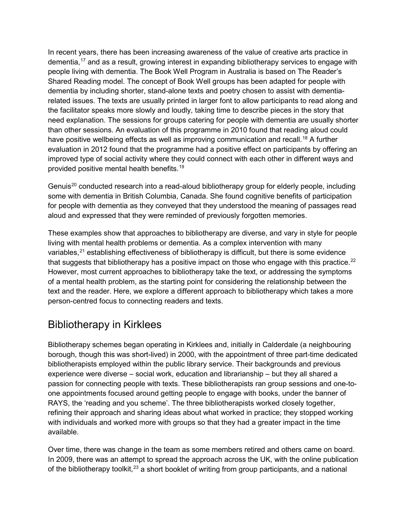<span id="page-3-3"></span><span id="page-3-2"></span><span id="page-3-1"></span><span id="page-3-0"></span>In recent years, there has been increasing awareness of the value of creative arts practice in dementia,<sup>[17](#page-3-5)</sup> and as a result, growing interest in expanding bibliotherapy services to engage with people living with dementia. The Book Well Program in Australia is based on The Reader's Shared Reading model. The concept of Book Well groups has been adapted for people with dementia by including shorter, stand-alone texts and poetry chosen to assist with dementiarelated issues. The texts are usually printed in larger font to allow participants to read along and the facilitator speaks more slowly and loudly, taking time to describe pieces in the story that need explanation. The sessions for groups catering for people with dementia are usually shorter than other sessions. An evaluation of this programme in 2010 found that reading aloud could have positive wellbeing effects as well as improving communication and recall.<sup>[18](#page-3-6)</sup> A further evaluation in 2012 found that the programme had a positive effect on participants by offering an improved type of social activity where they could connect with each other in different ways and provided positive mental health benefits.[19](#page-3-7)

<span id="page-3-9"></span><span id="page-3-8"></span><span id="page-3-7"></span><span id="page-3-6"></span><span id="page-3-5"></span><span id="page-3-4"></span>Genuis<sup>[20](#page-3-8)</sup> conducted research into a read-aloud bibliotherapy group for elderly people, including some with dementia in British Columbia, Canada. She found cognitive benefits of participation for people with dementia as they conveyed that they understood the meaning of passages read aloud and expressed that they were reminded of previously forgotten memories.

<span id="page-3-12"></span><span id="page-3-11"></span><span id="page-3-10"></span>These examples show that approaches to bibliotherapy are diverse, and vary in style for people living with mental health problems or dementia. As a complex intervention with many variables,  $21$  establishing effectiveness of bibliotherapy is difficult, but there is some evidence that suggests that bibliotherapy has a positive impact on those who engage with this practice.<sup>[22](#page-3-10)</sup> However, most current approaches to bibliotherapy take the text, or addressing the symptoms of a mental health problem, as the starting point for considering the relationship between the text and the reader. Here, we explore a different approach to bibliotherapy which takes a more person-centred focus to connecting readers and texts.

#### <span id="page-3-15"></span><span id="page-3-14"></span><span id="page-3-13"></span>Bibliotherapy in Kirklees

<span id="page-3-18"></span><span id="page-3-17"></span><span id="page-3-16"></span>Bibliotherapy schemes began operating in Kirklees and, initially in Calderdale (a neighbouring borough, though this was short-lived) in 2000, with the appointment of three part-time dedicated bibliotherapists employed within the public library service. Their backgrounds and previous experience were diverse – social work, education and librarianship – but they all shared a passion for connecting people with texts. These bibliotherapists ran group sessions and one-toone appointments focused around getting people to engage with books, under the banner of RAYS, the 'reading and you scheme'. The three bibliotherapists worked closely together, refining their approach and sharing ideas about what worked in practice; they stopped working with individuals and worked more with groups so that they had a greater impact in the time available.

<span id="page-3-23"></span><span id="page-3-22"></span><span id="page-3-21"></span><span id="page-3-20"></span><span id="page-3-19"></span>Over time, there was change in the team as some members retired and others came on board. In 2009, there was an attempt to spread the approach across the UK, with the online publication of the bibliotherapy toolkit, $23$  a short booklet of writing from group participants, and a national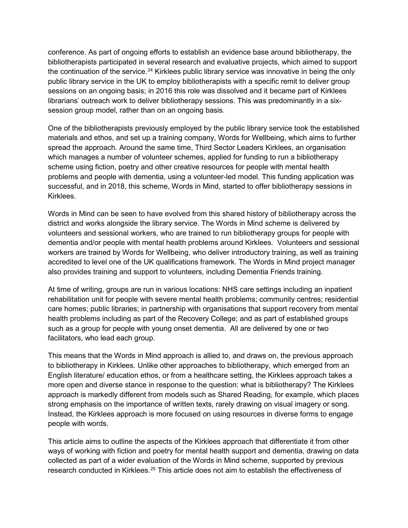<span id="page-4-1"></span><span id="page-4-0"></span>conference. As part of ongoing efforts to establish an evidence base around bibliotherapy, the bibliotherapists participated in several research and evaluative projects, which aimed to support the continuation of the service.<sup>[24](#page-3-12)</sup> Kirklees public library service was innovative in being the only public library service in the UK to employ bibliotherapists with a specific remit to deliver group sessions on an ongoing basis; in 2016 this role was dissolved and it became part of Kirklees librarians' outreach work to deliver bibliotherapy sessions. This was predominantly in a sixsession group model, rather than on an ongoing basis.

<span id="page-4-6"></span><span id="page-4-5"></span><span id="page-4-4"></span><span id="page-4-3"></span><span id="page-4-2"></span>One of the bibliotherapists previously employed by the public library service took the established materials and ethos, and set up a training company, Words for Wellbeing, which aims to further spread the approach. Around the same time, Third Sector Leaders Kirklees, an organisation which manages a number of volunteer schemes, applied for funding to run a bibliotherapy scheme using fiction, poetry and other creative resources for people with mental health problems and people with dementia, using a volunteer-led model. This funding application was successful, and in 2018, this scheme, Words in Mind, started to offer bibliotherapy sessions in Kirklees.

Words in Mind can be seen to have evolved from this shared history of bibliotherapy across the district and works alongside the library service. The Words in Mind scheme is delivered by volunteers and sessional workers, who are trained to run bibliotherapy groups for people with dementia and/or people with mental health problems around Kirklees. Volunteers and sessional workers are trained by Words for Wellbeing, who deliver introductory training, as well as training accredited to level one of the UK qualifications framework. The Words in Mind project manager also provides training and support to volunteers, including Dementia Friends training.

At time of writing, groups are run in various locations: NHS care settings including an inpatient rehabilitation unit for people with severe mental health problems; community centres; residential care homes; public libraries; in partnership with organisations that support recovery from mental health problems including as part of the Recovery College; and as part of established groups such as a group for people with young onset dementia. All are delivered by one or two facilitators, who lead each group.

This means that the Words in Mind approach is allied to, and draws on, the previous approach to bibliotherapy in Kirklees. Unlike other approaches to bibliotherapy, which emerged from an English literature/ education ethos, or from a healthcare setting, the Kirklees approach takes a more open and diverse stance in response to the question: what is bibliotherapy? The Kirklees approach is markedly different from models such as Shared Reading, for example, which places strong emphasis on the importance of written texts, rarely drawing on visual imagery or song. Instead, the Kirklees approach is more focused on using resources in diverse forms to engage people with words.

This article aims to outline the aspects of the Kirklees approach that differentiate it from other ways of working with fiction and poetry for mental health support and dementia, drawing on data collected as part of a wider evaluation of the Words in Mind scheme, supported by previous research conducted in Kirklees.<sup>[25](#page-3-13)</sup> This article does not aim to establish the effectiveness of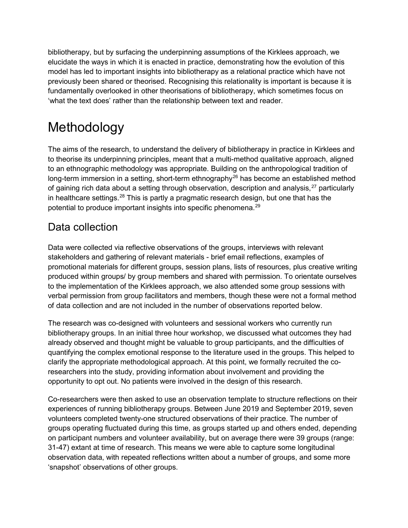bibliotherapy, but by surfacing the underpinning assumptions of the Kirklees approach, we elucidate the ways in which it is enacted in practice, demonstrating how the evolution of this model has led to important insights into bibliotherapy as a relational practice which have not previously been shared or theorised. Recognising this relationality is important is because it is fundamentally overlooked in other theorisations of bibliotherapy, which sometimes focus on 'what the text does' rather than the relationship between text and reader.

# Methodology

The aims of the research, to understand the delivery of bibliotherapy in practice in Kirklees and to theorise its underpinning principles, meant that a multi-method qualitative approach, aligned to an ethnographic methodology was appropriate. Building on the anthropological tradition of long-term immersion in a setting, short-term ethnography<sup>[26](#page-3-14)</sup> has become an established method of gaining rich data about a setting through observation, description and analysis, $27$  particularly in healthcare settings. $^{28}$  $^{28}$  $^{28}$  This is partly a pragmatic research design, but one that has the potential to produce important insights into specific phenomena.[29](#page-3-17)

#### Data collection

Data were collected via reflective observations of the groups, interviews with relevant stakeholders and gathering of relevant materials - brief email reflections, examples of promotional materials for different groups, session plans, lists of resources, plus creative writing produced within groups/ by group members and shared with permission. To orientate ourselves to the implementation of the Kirklees approach, we also attended some group sessions with verbal permission from group facilitators and members, though these were not a formal method of data collection and are not included in the number of observations reported below.

The research was co-designed with volunteers and sessional workers who currently run bibliotherapy groups. In an initial three hour workshop, we discussed what outcomes they had already observed and thought might be valuable to group participants, and the difficulties of quantifying the complex emotional response to the literature used in the groups. This helped to clarify the appropriate methodological approach. At this point, we formally recruited the coresearchers into the study, providing information about involvement and providing the opportunity to opt out. No patients were involved in the design of this research.

Co-researchers were then asked to use an observation template to structure reflections on their experiences of running bibliotherapy groups. Between June 2019 and September 2019, seven volunteers completed twenty-one structured observations of their practice. The number of groups operating fluctuated during this time, as groups started up and others ended, depending on participant numbers and volunteer availability, but on average there were 39 groups (range: 31-47) extant at time of research. This means we were able to capture some longitudinal observation data, with repeated reflections written about a number of groups, and some more 'snapshot' observations of other groups.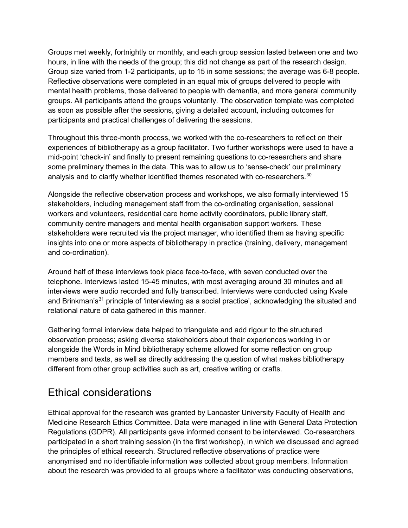Groups met weekly, fortnightly or monthly, and each group session lasted between one and two hours, in line with the needs of the group; this did not change as part of the research design. Group size varied from 1-2 participants, up to 15 in some sessions; the average was 6-8 people. Reflective observations were completed in an equal mix of groups delivered to people with mental health problems, those delivered to people with dementia, and more general community groups. All participants attend the groups voluntarily. The observation template was completed as soon as possible after the sessions, giving a detailed account, including outcomes for participants and practical challenges of delivering the sessions.

Throughout this three-month process, we worked with the co-researchers to reflect on their experiences of bibliotherapy as a group facilitator. Two further workshops were used to have a mid-point 'check-in' and finally to present remaining questions to co-researchers and share some preliminary themes in the data. This was to allow us to 'sense-check' our preliminary analysis and to clarify whether identified themes resonated with co-researchers. $30$ 

Alongside the reflective observation process and workshops, we also formally interviewed 15 stakeholders, including management staff from the co-ordinating organisation, sessional workers and volunteers, residential care home activity coordinators, public library staff, community centre managers and mental health organisation support workers. These stakeholders were recruited via the project manager, who identified them as having specific insights into one or more aspects of bibliotherapy in practice (training, delivery, management and co-ordination).

Around half of these interviews took place face-to-face, with seven conducted over the telephone. Interviews lasted 15-45 minutes, with most averaging around 30 minutes and all interviews were audio recorded and fully transcribed. Interviews were conducted using Kvale and Brinkman's<sup>[31](#page-3-19)</sup> principle of 'interviewing as a social practice', acknowledging the situated and relational nature of data gathered in this manner.

Gathering formal interview data helped to triangulate and add rigour to the structured observation process; asking diverse stakeholders about their experiences working in or alongside the Words in Mind bibliotherapy scheme allowed for some reflection on group members and texts, as well as directly addressing the question of what makes bibliotherapy different from other group activities such as art, creative writing or crafts.

#### Ethical considerations

Ethical approval for the research was granted by Lancaster University Faculty of Health and Medicine Research Ethics Committee. Data were managed in line with General Data Protection Regulations (GDPR). All participants gave informed consent to be interviewed. Co-researchers participated in a short training session (in the first workshop), in which we discussed and agreed the principles of ethical research. Structured reflective observations of practice were anonymised and no identifiable information was collected about group members. Information about the research was provided to all groups where a facilitator was conducting observations,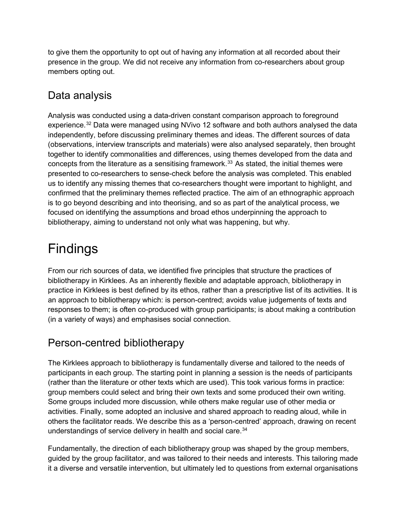to give them the opportunity to opt out of having any information at all recorded about their presence in the group. We did not receive any information from co-researchers about group members opting out.

#### Data analysis

Analysis was conducted using a data-driven constant comparison approach to foreground experience.<sup>[32](#page-3-20)</sup> Data were managed using NVivo 12 software and both authors analysed the data independently, before discussing preliminary themes and ideas. The different sources of data (observations, interview transcripts and materials) were also analysed separately, then brought together to identify commonalities and differences, using themes developed from the data and concepts from the literature as a sensitising framework.<sup>[33](#page-3-21)</sup> As stated, the initial themes were presented to co-researchers to sense-check before the analysis was completed. This enabled us to identify any missing themes that co-researchers thought were important to highlight, and confirmed that the preliminary themes reflected practice. The aim of an ethnographic approach is to go beyond describing and into theorising, and so as part of the analytical process, we focused on identifying the assumptions and broad ethos underpinning the approach to bibliotherapy, aiming to understand not only what was happening, but why.

# Findings

From our rich sources of data, we identified five principles that structure the practices of bibliotherapy in Kirklees. As an inherently flexible and adaptable approach, bibliotherapy in practice in Kirklees is best defined by its ethos, rather than a prescriptive list of its activities. It is an approach to bibliotherapy which: is person-centred; avoids value judgements of texts and responses to them; is often co-produced with group participants; is about making a contribution (in a variety of ways) and emphasises social connection.

#### Person-centred bibliotherapy

The Kirklees approach to bibliotherapy is fundamentally diverse and tailored to the needs of participants in each group. The starting point in planning a session is the needs of participants (rather than the literature or other texts which are used). This took various forms in practice: group members could select and bring their own texts and some produced their own writing. Some groups included more discussion, while others make regular use of other media or activities. Finally, some adopted an inclusive and shared approach to reading aloud, while in others the facilitator reads. We describe this as a 'person-centred' approach, drawing on recent understandings of service delivery in health and social care.<sup>[34](#page-3-22)</sup>

Fundamentally, the direction of each bibliotherapy group was shaped by the group members, guided by the group facilitator, and was tailored to their needs and interests. This tailoring made it a diverse and versatile intervention, but ultimately led to questions from external organisations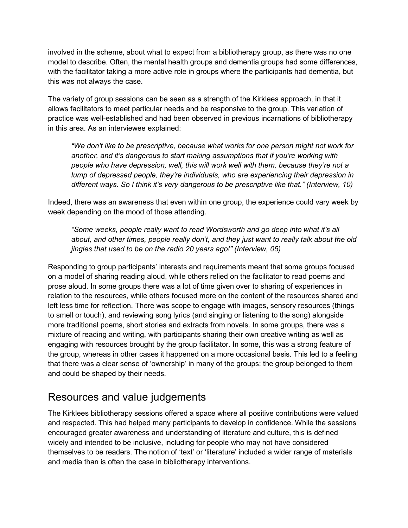involved in the scheme, about what to expect from a bibliotherapy group, as there was no one model to describe. Often, the mental health groups and dementia groups had some differences, with the facilitator taking a more active role in groups where the participants had dementia, but this was not always the case.

The variety of group sessions can be seen as a strength of the Kirklees approach, in that it allows facilitators to meet particular needs and be responsive to the group. This variation of practice was well-established and had been observed in previous incarnations of bibliotherapy in this area. As an interviewee explained:

*"We don't like to be prescriptive, because what works for one person might not work for another, and it's dangerous to start making assumptions that if you're working with people who have depression, well, this will work well with them, because they're not a lump of depressed people, they're individuals, who are experiencing their depression in different ways. So I think it's very dangerous to be prescriptive like that." (Interview, 10)*

Indeed, there was an awareness that even within one group, the experience could vary week by week depending on the mood of those attending.

*"Some weeks, people really want to read Wordsworth and go deep into what it's all about, and other times, people really don't, and they just want to really talk about the old jingles that used to be on the radio 20 years ago!" (Interview, 05)*

Responding to group participants' interests and requirements meant that some groups focused on a model of sharing reading aloud, while others relied on the facilitator to read poems and prose aloud. In some groups there was a lot of time given over to sharing of experiences in relation to the resources, while others focused more on the content of the resources shared and left less time for reflection. There was scope to engage with images, sensory resources (things to smell or touch), and reviewing song lyrics (and singing or listening to the song) alongside more traditional poems, short stories and extracts from novels. In some groups, there was a mixture of reading and writing, with participants sharing their own creative writing as well as engaging with resources brought by the group facilitator. In some, this was a strong feature of the group, whereas in other cases it happened on a more occasional basis. This led to a feeling that there was a clear sense of 'ownership' in many of the groups; the group belonged to them and could be shaped by their needs.

#### Resources and value judgements

The Kirklees bibliotherapy sessions offered a space where all positive contributions were valued and respected. This had helped many participants to develop in confidence. While the sessions encouraged greater awareness and understanding of literature and culture, this is defined widely and intended to be inclusive, including for people who may not have considered themselves to be readers. The notion of 'text' or 'literature' included a wider range of materials and media than is often the case in bibliotherapy interventions.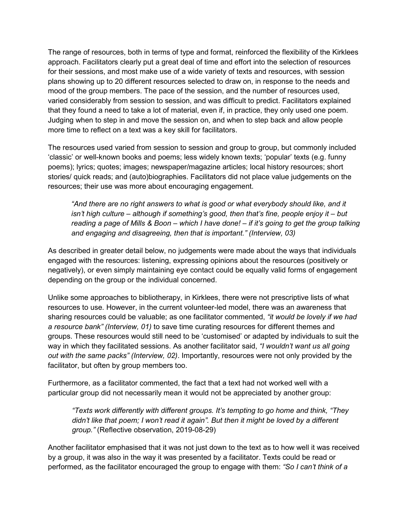The range of resources, both in terms of type and format, reinforced the flexibility of the Kirklees approach. Facilitators clearly put a great deal of time and effort into the selection of resources for their sessions, and most make use of a wide variety of texts and resources, with session plans showing up to 20 different resources selected to draw on, in response to the needs and mood of the group members. The pace of the session, and the number of resources used, varied considerably from session to session, and was difficult to predict. Facilitators explained that they found a need to take a lot of material, even if, in practice, they only used one poem. Judging when to step in and move the session on, and when to step back and allow people more time to reflect on a text was a key skill for facilitators.

The resources used varied from session to session and group to group, but commonly included 'classic' or well-known books and poems; less widely known texts; 'popular' texts (e.g. funny poems); lyrics; quotes; images; newspaper/magazine articles; local history resources; short stories/ quick reads; and (auto)biographies. Facilitators did not place value judgements on the resources; their use was more about encouraging engagement.

*"And there are no right answers to what is good or what everybody should like, and it isn't high culture – although if something's good, then that's fine, people enjoy it – but reading a page of Mills & Boon – which I have done! – if it's going to get the group talking and engaging and disagreeing, then that is important." (Interview, 03)*

As described in greater detail below, no judgements were made about the ways that individuals engaged with the resources: listening, expressing opinions about the resources (positively or negatively), or even simply maintaining eye contact could be equally valid forms of engagement depending on the group or the individual concerned.

Unlike some approaches to bibliotherapy, in Kirklees, there were not prescriptive lists of what resources to use. However, in the current volunteer-led model, there was an awareness that sharing resources could be valuable; as one facilitator commented, *"it would be lovely if we had a resource bank" (Interview, 01)* to save time curating resources for different themes and groups. These resources would still need to be 'customised' or adapted by individuals to suit the way in which they facilitated sessions. As another facilitator said, *"I wouldn't want us all going out with the same packs" (Interview, 02)*. Importantly, resources were not only provided by the facilitator, but often by group members too.

Furthermore, as a facilitator commented, the fact that a text had not worked well with a particular group did not necessarily mean it would not be appreciated by another group:

*"Texts work differently with different groups. It's tempting to go home and think, "They didn't like that poem; I won't read it again". But then it might be loved by a different group."* (Reflective observation, 2019-08-29)

Another facilitator emphasised that it was not just down to the text as to how well it was received by a group, it was also in the way it was presented by a facilitator. Texts could be read or performed, as the facilitator encouraged the group to engage with them: *"So I can't think of a*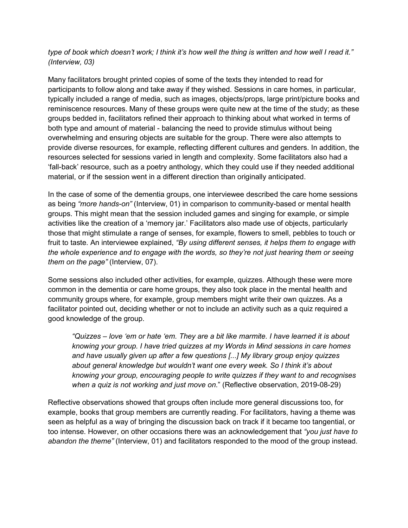#### *type of book which doesn't work; I think it's how well the thing is written and how well I read it." (Interview, 03)*

Many facilitators brought printed copies of some of the texts they intended to read for participants to follow along and take away if they wished. Sessions in care homes, in particular, typically included a range of media, such as images, objects/props, large print/picture books and reminiscence resources. Many of these groups were quite new at the time of the study; as these groups bedded in, facilitators refined their approach to thinking about what worked in terms of both type and amount of material - balancing the need to provide stimulus without being overwhelming and ensuring objects are suitable for the group. There were also attempts to provide diverse resources, for example, reflecting different cultures and genders. In addition, the resources selected for sessions varied in length and complexity. Some facilitators also had a 'fall-back' resource, such as a poetry anthology, which they could use if they needed additional material, or if the session went in a different direction than originally anticipated.

In the case of some of the dementia groups, one interviewee described the care home sessions as being *"more hands-on"* (Interview, 01) in comparison to community-based or mental health groups. This might mean that the session included games and singing for example, or simple activities like the creation of a 'memory jar.' Facilitators also made use of objects, particularly those that might stimulate a range of senses, for example, flowers to smell, pebbles to touch or fruit to taste. An interviewee explained, *"By using different senses, it helps them to engage with the whole experience and to engage with the words, so they're not just hearing them or seeing them on the page"* (Interview, 07).

Some sessions also included other activities, for example, quizzes. Although these were more common in the dementia or care home groups, they also took place in the mental health and community groups where, for example, group members might write their own quizzes. As a facilitator pointed out, deciding whether or not to include an activity such as a quiz required a good knowledge of the group.

*"Quizzes – love 'em or hate 'em. They are a bit like marmite. I have learned it is about knowing your group. I have tried quizzes at my Words in Mind sessions in care homes and have usually given up after a few questions [...] My library group enjoy quizzes about general knowledge but wouldn't want one every week. So I think it's about knowing your group, encouraging people to write quizzes if they want to and recognises when a quiz is not working and just move on*." (Reflective observation, 2019-08-29)

Reflective observations showed that groups often include more general discussions too, for example, books that group members are currently reading. For facilitators, having a theme was seen as helpful as a way of bringing the discussion back on track if it became too tangential, or too intense. However, on other occasions there was an acknowledgement that *"you just have to abandon the theme"* (Interview, 01) and facilitators responded to the mood of the group instead.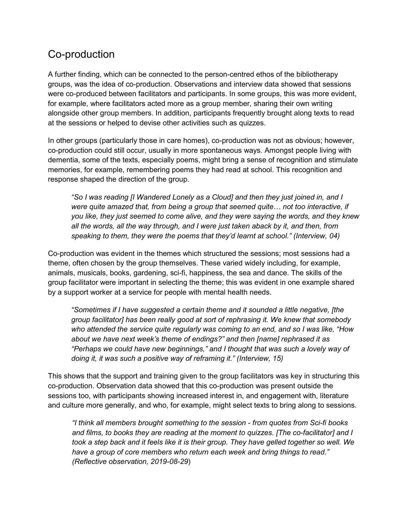#### Co-production

A further finding, which can be connected to the person-centred ethos of the bibliotherapy groups, was the idea of co-production. Observations and interview data showed that sessions were co-produced between facilitators and participants. In some groups, this was more evident, for example, where facilitators acted more as a group member, sharing their own writing alongside other group members. In addition, participants frequently brought along texts to read at the sessions or helped to devise other activities such as quizzes.

In other groups (particularly those in care homes), co-production was not as obvious; however, co-production could still occur, usually in more spontaneous ways. Amongst people living with dementia, some of the texts, especially poems, might bring a sense of recognition and stimulate memories, for example, remembering poems they had read at school. This recognition and response shaped the direction of the group.

*"So I was reading [I Wandered Lonely as a Cloud] and then they just joined in, and I were quite amazed that, from being a group that seemed quite… not too interactive, if you like, they just seemed to come alive, and they were saying the words, and they knew all the words, all the way through, and I were just taken aback by it, and then, from speaking to them, they were the poems that they'd learnt at school." (Interview, 04)*

Co-production was evident in the themes which structured the sessions; most sessions had a theme, often chosen by the group themselves. These varied widely including, for example, animals, musicals, books, gardening, sci-fi, happiness, the sea and dance. The skills of the group facilitator were important in selecting the theme; this was evident in one example shared by a support worker at a service for people with mental health needs.

*"Sometimes if I have suggested a certain theme and it sounded a little negative, [the group facilitator] has been really good at sort of rephrasing it. We knew that somebody who attended the service quite regularly was coming to an end, and so I was like, "How about we have next week's theme of endings?" and then [name] rephrased it as "Perhaps we could have new beginnings," and I thought that was such a lovely way of doing it, it was such a positive way of reframing it." (Interview, 15)*

This shows that the support and training given to the group facilitators was key in structuring this co-production. Observation data showed that this co-production was present outside the sessions too, with participants showing increased interest in, and engagement with, literature and culture more generally, and who, for example, might select texts to bring along to sessions.

*"I think all members brought something to the session - from quotes from Sci-fi books and films, to books they are reading at the moment to quizzes. [The co-facilitator] and I took a step back and it feels like it is their group. They have gelled together so well. We have a group of core members who return each week and bring things to read." (Reflective observation, 2019-08-29*)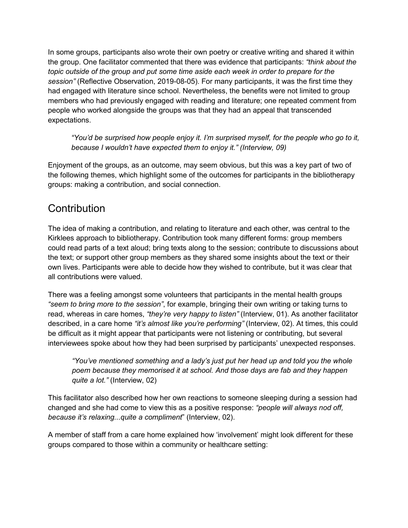In some groups, participants also wrote their own poetry or creative writing and shared it within the group. One facilitator commented that there was evidence that participants: *"think about the topic outside of the group and put some time aside each week in order to prepare for the session"* (Reflective Observation, 2019-08-05). For many participants, it was the first time they had engaged with literature since school. Nevertheless, the benefits were not limited to group members who had previously engaged with reading and literature; one repeated comment from people who worked alongside the groups was that they had an appeal that transcended expectations.

*"You'd be surprised how people enjoy it. I'm surprised myself, for the people who go to it, because I wouldn't have expected them to enjoy it." (Interview, 09)*

Enjoyment of the groups, as an outcome, may seem obvious, but this was a key part of two of the following themes, which highlight some of the outcomes for participants in the bibliotherapy groups: making a contribution, and social connection.

#### **Contribution**

The idea of making a contribution, and relating to literature and each other, was central to the Kirklees approach to bibliotherapy. Contribution took many different forms: group members could read parts of a text aloud; bring texts along to the session; contribute to discussions about the text; or support other group members as they shared some insights about the text or their own lives. Participants were able to decide how they wished to contribute, but it was clear that all contributions were valued.

There was a feeling amongst some volunteers that participants in the mental health groups *"seem to bring more to the session"*, for example, bringing their own writing or taking turns to read, whereas in care homes, *"they're very happy to listen"* (Interview, 01). As another facilitator described, in a care home *"it's almost like you're performing"* (Interview, 02). At times, this could be difficult as it might appear that participants were not listening or contributing, but several interviewees spoke about how they had been surprised by participants' unexpected responses.

*"You've mentioned something and a lady's just put her head up and told you the whole poem because they memorised it at school. And those days are fab and they happen quite a lot."* (Interview, 02)

This facilitator also described how her own reactions to someone sleeping during a session had changed and she had come to view this as a positive response: *"people will always nod off, because it's relaxing...quite a compliment*" (Interview, 02).

A member of staff from a care home explained how 'involvement' might look different for these groups compared to those within a community or healthcare setting: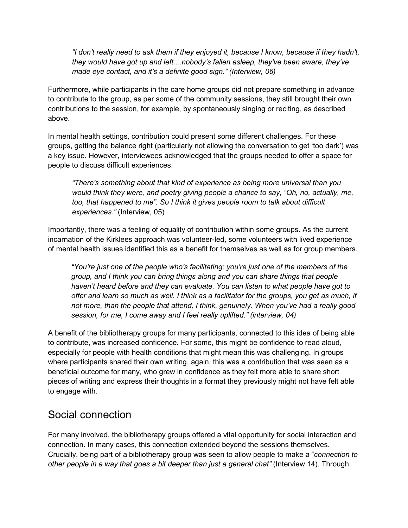*"I don't really need to ask them if they enjoyed it, because I know, because if they hadn't, they would have got up and left....nobody's fallen asleep, they've been aware, they've made eye contact, and it's a definite good sign." (Interview, 06)*

Furthermore, while participants in the care home groups did not prepare something in advance to contribute to the group, as per some of the community sessions, they still brought their own contributions to the session, for example, by spontaneously singing or reciting, as described above.

In mental health settings, contribution could present some different challenges. For these groups, getting the balance right (particularly not allowing the conversation to get 'too dark') was a key issue. However, interviewees acknowledged that the groups needed to offer a space for people to discuss difficult experiences.

*"There's something about that kind of experience as being more universal than you would think they were, and poetry giving people a chance to say, "Oh, no, actually, me, too, that happened to me". So I think it gives people room to talk about difficult experiences."* (Interview, 05)

Importantly, there was a feeling of equality of contribution within some groups. As the current incarnation of the Kirklees approach was volunteer-led, some volunteers with lived experience of mental health issues identified this as a benefit for themselves as well as for group members.

*"You're just one of the people who's facilitating: you're just one of the members of the group, and I think you can bring things along and you can share things that people haven't heard before and they can evaluate. You can listen to what people have got to offer and learn so much as well. I think as a facilitator for the groups, you get as much, if not more, than the people that attend, I think, genuinely. When you've had a really good session, for me, I come away and I feel really uplifted." (interview, 04)* 

A benefit of the bibliotherapy groups for many participants, connected to this idea of being able to contribute, was increased confidence. For some, this might be confidence to read aloud, especially for people with health conditions that might mean this was challenging. In groups where participants shared their own writing, again, this was a contribution that was seen as a beneficial outcome for many, who grew in confidence as they felt more able to share short pieces of writing and express their thoughts in a format they previously might not have felt able to engage with.

#### Social connection

For many involved, the bibliotherapy groups offered a vital opportunity for social interaction and connection. In many cases, this connection extended beyond the sessions themselves. Crucially, being part of a bibliotherapy group was seen to allow people to make a "*connection to other people in a way that goes a bit deeper than just a general chat"* (Interview 14). Through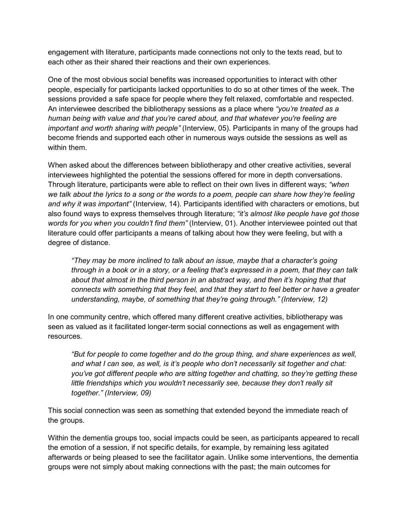engagement with literature, participants made connections not only to the texts read, but to each other as their shared their reactions and their own experiences.

One of the most obvious social benefits was increased opportunities to interact with other people, especially for participants lacked opportunities to do so at other times of the week. The sessions provided a safe space for people where they felt relaxed, comfortable and respected. An interviewee described the bibliotherapy sessions as a place where *"you're treated as a human being with value and that you're cared about, and that whatever you're feeling are important and worth sharing with people"* (Interview, 05). Participants in many of the groups had become friends and supported each other in numerous ways outside the sessions as well as within them.

When asked about the differences between bibliotherapy and other creative activities, several interviewees highlighted the potential the sessions offered for more in depth conversations. Through literature, participants were able to reflect on their own lives in different ways; *"when we talk about the lyrics to a song or the words to a poem, people can share how they're feeling and why it was important"* (Interview, 14). Participants identified with characters or emotions, but also found ways to express themselves through literature; *"it's almost like people have got those words for you when you couldn't find them"* (Interview, 01). Another interviewee pointed out that literature could offer participants a means of talking about how they were feeling, but with a degree of distance.

*"They may be more inclined to talk about an issue, maybe that a character's going through in a book or in a story, or a feeling that's expressed in a poem, that they can talk about that almost in the third person in an abstract way, and then it's hoping that that connects with something that they feel, and that they start to feel better or have a greater understanding, maybe, of something that they're going through." (Interview, 12)*

In one community centre, which offered many different creative activities, bibliotherapy was seen as valued as it facilitated longer-term social connections as well as engagement with resources.

*"But for people to come together and do the group thing, and share experiences as well, and what I can see, as well, is it's people who don't necessarily sit together and chat: you've got different people who are sitting together and chatting, so they're getting these*  little friendships which you wouldn't necessarily see, because they don't really sit *together." (Interview, 09)*

This social connection was seen as something that extended beyond the immediate reach of the groups.

Within the dementia groups too, social impacts could be seen, as participants appeared to recall the emotion of a session, if not specific details, for example, by remaining less agitated afterwards or being pleased to see the facilitator again. Unlike some interventions, the dementia groups were not simply about making connections with the past; the main outcomes for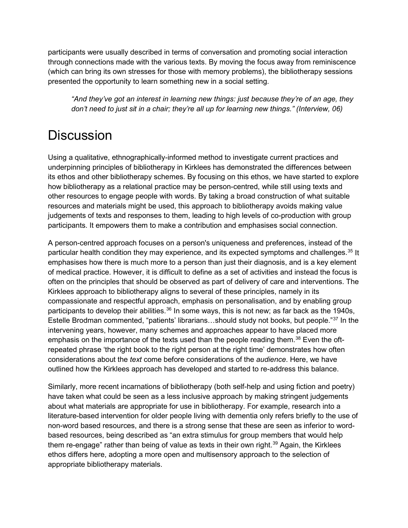participants were usually described in terms of conversation and promoting social interaction through connections made with the various texts. By moving the focus away from reminiscence (which can bring its own stresses for those with memory problems), the bibliotherapy sessions presented the opportunity to learn something new in a social setting.

*"And they've got an interest in learning new things: just because they're of an age, they don't need to just sit in a chair; they're all up for learning new things." (Interview, 06)*

# **Discussion**

Using a qualitative, ethnographically-informed method to investigate current practices and underpinning principles of bibliotherapy in Kirklees has demonstrated the differences between its ethos and other bibliotherapy schemes. By focusing on this ethos, we have started to explore how bibliotherapy as a relational practice may be person-centred, while still using texts and other resources to engage people with words. By taking a broad construction of what suitable resources and materials might be used, this approach to bibliotherapy avoids making value judgements of texts and responses to them, leading to high levels of co-production with group participants. It empowers them to make a contribution and emphasises social connection.

A person-centred approach focuses on a person's uniqueness and preferences, instead of the particular health condition they may experience, and its expected symptoms and challenges.<sup>[35](#page-3-23)</sup> It emphasises how there is much more to a person than just their diagnosis, and is a key element of medical practice. However, it is difficult to define as a set of activities and instead the focus is often on the principles that should be observed as part of delivery of care and interventions. The Kirklees approach to bibliotherapy aligns to several of these principles, namely in its compassionate and respectful approach, emphasis on personalisation, and by enabling group participants to develop their abilities.<sup>[36](#page-4-0)</sup> In some ways, this is not new; as far back as the 1940s, Estelle Brodman commented, "patients' librarians…should study not books, but people."[37](#page-4-1) In the intervening years, however, many schemes and approaches appear to have placed more emphasis on the importance of the texts used than the people reading them.<sup>[38](#page-4-2)</sup> Even the oftrepeated phrase 'the right book to the right person at the right time' demonstrates how often considerations about the *text* come before considerations of the *audience*. Here, we have outlined how the Kirklees approach has developed and started to re-address this balance.

Similarly, more recent incarnations of bibliotherapy (both self-help and using fiction and poetry) have taken what could be seen as a less inclusive approach by making stringent judgements about what materials are appropriate for use in bibliotherapy. For example, research into a literature-based intervention for older people living with dementia only refers briefly to the use of non-word based resources, and there is a strong sense that these are seen as inferior to wordbased resources, being described as "an extra stimulus for group members that would help them re-engage" rather than being of value as texts in their own right.<sup>[39](#page-4-3)</sup> Again, the Kirklees ethos differs here, adopting a more open and multisensory approach to the selection of appropriate bibliotherapy materials.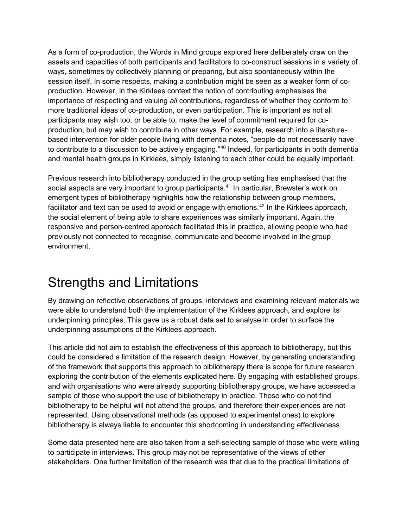As a form of co-production, the Words in Mind groups explored here deliberately draw on the assets and capacities of both participants and facilitators to co-construct sessions in a variety of ways, sometimes by collectively planning or preparing, but also spontaneously within the session itself. In some respects, making a contribution might be seen as a weaker form of coproduction. However, in the Kirklees context the notion of contributing emphasises the importance of respecting and valuing *all* contributions, regardless of whether they conform to more traditional ideas of co-production, or even participation. This is important as not all participants may wish too, or be able to, make the level of commitment required for coproduction, but may wish to contribute in other ways. For example, research into a literaturebased intervention for older people living with dementia notes, "people do not necessarily have to contribute to a discussion to be actively engaging."<sup>[40](#page-4-4)</sup> Indeed, for participants in both dementia and mental health groups in Kirklees, simply listening to each other could be equally important.

Previous research into bibliotherapy conducted in the group setting has emphasised that the social aspects are very important to group participants.<sup>[41](#page-4-5)</sup> In particular, Brewster's work on emergent types of bibliotherapy highlights how the relationship between group members, facilitator and text can be used to avoid or engage with emotions.<sup>[42](#page-4-6)</sup> In the Kirklees approach, the social element of being able to share experiences was similarly important. Again, the responsive and person-centred approach facilitated this in practice, allowing people who had previously not connected to recognise, communicate and become involved in the group environment.

### Strengths and Limitations

By drawing on reflective observations of groups, interviews and examining relevant materials we were able to understand both the implementation of the Kirklees approach, and explore its underpinning principles. This gave us a robust data set to analyse in order to surface the underpinning assumptions of the Kirklees approach.

This article did not aim to establish the effectiveness of this approach to bibliotherapy, but this could be considered a limitation of the research design. However, by generating understanding of the framework that supports this approach to bibliotherapy there is scope for future research exploring the contribution of the elements explicated here. By engaging with established groups, and with organisations who were already supporting bibliotherapy groups, we have accessed a sample of those who support the use of bibliotherapy in practice. Those who do not find bibliotherapy to be helpful will not attend the groups, and therefore their experiences are not represented. Using observational methods (as opposed to experimental ones) to explore bibliotherapy is always liable to encounter this shortcoming in understanding effectiveness.

Some data presented here are also taken from a self-selecting sample of those who were willing to participate in interviews. This group may not be representative of the views of other stakeholders. One further limitation of the research was that due to the practical limitations of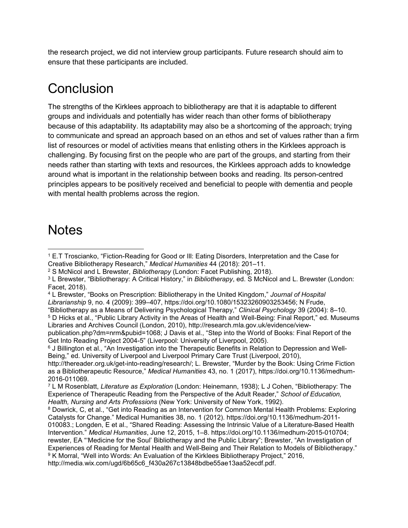the research project, we did not interview group participants. Future research should aim to ensure that these participants are included.

### **Conclusion**

The strengths of the Kirklees approach to bibliotherapy are that it is adaptable to different groups and individuals and potentially has wider reach than other forms of bibliotherapy because of this adaptability. Its adaptability may also be a shortcoming of the approach; trying to communicate and spread an approach based on an ethos and set of values rather than a firm list of resources or model of activities means that enlisting others in the Kirklees approach is challenging. By focusing first on the people who are part of the groups, and starting from their needs rather than starting with texts and resources, the Kirklees approach adds to knowledge around what is important in the relationship between books and reading. Its person-centred principles appears to be positively received and beneficial to people with dementia and people with mental health problems across the region.

### **Notes**

<sup>6</sup> J Billington et al., "An Investigation into the Therapeutic Benefits in Relation to Depression and Well-Being," ed. University of Liverpool and Liverpool Primary Care Trust (Liverpool, 2010),

<sup>1</sup> E.T Troscianko, "Fiction-Reading for Good or Ill: Eating Disorders, Interpretation and the Case for Creative Bibliotherapy Research," *Medical Humanities* 44 (2018): 201–11.  $\overline{a}$ 

<sup>2</sup> S McNicol and L Brewster, *Bibliotherapy* (London: Facet Publishing, 2018).

<sup>3</sup> L Brewster, "Bibliotherapy: A Critical History," in *Bibliotherapy*, ed. S McNicol and L. Brewster (London: Facet, 2018).

<sup>4</sup> L Brewster, "Books on Prescription: Bibliotherapy in the United Kingdom," *Journal of Hospital Librarianship* 9, no. 4 (2009): 399–407, https://doi.org/10.1080/15323260903253456; N Frude,

<sup>&</sup>quot;Bibliotherapy as a Means of Delivering Psychological Therapy," *Clinical Psychology* 39 (2004): 8–10.

<sup>5</sup> D Hicks et al., "Public Library Activity in the Areas of Health and Well-Being: Final Report," ed. Museums Libraries and Archives Council (London, 2010), http://research.mla.gov.uk/evidence/view-

publication.php?dm=nrm&pubid=1068; J Davis et al., "Step into the World of Books: Final Report of the Get Into Reading Project 2004-5" (Liverpool: University of Liverpool, 2005).

http://thereader.org.uk/get-into-reading/research/; L. Brewster, "Murder by the Book: Using Crime Fiction as a Bibliotherapeutic Resource," *Medical Humanities* 43, no. 1 (2017), https://doi.org/10.1136/medhum-2016-011069.

<sup>7</sup> L M Rosenblatt, *Literature as Exploration* (London: Heinemann, 1938); L J Cohen, "Bibliotherapy: The Experience of Therapeutic Reading from the Perspective of the Adult Reader," *School of Education, Health, Nursing and Arts Professions* (New York: University of New York, 1992).

<sup>8</sup> Dowrick, C, et al., "Get into Reading as an Intervention for Common Mental Health Problems: Exploring Catalysts for Change." Medical Humanities 38, no. 1 (2012). https://doi.org/10.1136/medhum-2011- 010083.; Longden, E et al., "Shared Reading: Assessing the Intrinsic Value of a Literature-Based Health Intervention." *Medical Humanities*, June 12, 2015, 1–8. https://doi.org/10.1136/medhum-2015-010704; rewster, EA "'Medicine for the Soul' Bibliotherapy and the Public Library"; Brewster, "An Investigation of Experiences of Reading for Mental Health and Well-Being and Their Relation to Models of Bibliotherapy." <sup>9</sup> K Morral, "Well into Words: An Evaluation of the Kirklees Bibliotherapy Project," 2016,

http://media.wix.com/ugd/6b65c6\_f430a267c13848bdbe55ae13aa52ecdf.pdf.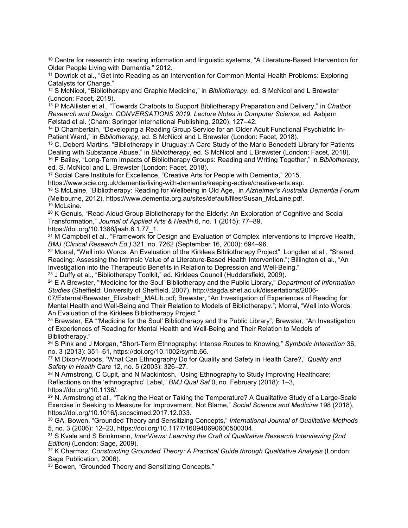10 Centre for research into reading information and linguistic systems, "A Literature-Based Intervention for Older People Living with Dementia," 2012.

<sup>11</sup> Dowrick et al., "Get into Reading as an Intervention for Common Mental Health Problems: Exploring Catalysts for Change."

<sup>12</sup> S McNicol, "Bibliotherapy and Graphic Medicine," in *Bibliotherapy*, ed. S McNicol and L Brewster (London: Facet, 2018).

<sup>13</sup> P McAllister et al., "Towards Chatbots to Support Bibliotherapy Preparation and Delivery," in *Chatbot Research and Design. CONVERSATIONS 2019. Lecture Notes in Computer Science*, ed. Asbjørn Følstad et al. (Cham: Springer International Publishing, 2020), 127–42.

<sup>14</sup> D Chamberlain, "Developing a Reading Group Service for an Older Adult Functional Psychiatric In-Patient Ward," in *Bibliotherapy*, ed. S McNicol and L Brewster (London: Facet, 2018).

<sup>15</sup> C. Deberti Martins, "Bibliotherapy in Uruguay :A Care Study of the Mario Benedetti Library for Patients Dealing with Substance Abuse," in *Bibliotherapy*, ed. S McNicol and L Brewster (London: Facet, 2018). <sup>16</sup> F Bailey, "Long-Term Impacts of Bibliotherapy Groups: Reading and Writing Together," in *Bibliotherapy*, ed. S. McNicol and L. Brewster (London: Facet, 2018).

<sup>17</sup> Social Care Institute for Excellence, "Creative Arts for People with Dementia," 2015,

https://www.scie.org.uk/dementia/living-with-dementia/keeping-active/creative-arts.asp.

<sup>18</sup> S McLaine, "Bibliotherapy: Reading for Wellbeing in Old Age," in *Alzheimer's Australia Dementia Forum* (Melbourne, 2012), https://www.dementia.org.au/sites/default/files/Susan\_McLaine.pdf.

<sup>19</sup> McLaine.

<sup>20</sup> K Genuis, "Read-Aloud Group Bibliotherapy for the Elderly: An Exploration of Cognitive and Social Transformation," *Journal of Applied Arts & Health* 6, no. 1 (2015): 77–89,

https://doi.org/10.1386/jaah.6.1.77\_1.

<sup>21</sup> M Campbell et al., "Framework for Design and Evaluation of Complex Interventions to Improve Health," *BMJ (Clinical Research Ed.)* 321, no. 7262 (September 16, 2000): 694–96.

<sup>22</sup> Morral, "Well into Words: An Evaluation of the Kirklees Bibliotherapy Project"; Longden et al., "Shared Reading: Assessing the Intrinsic Value of a Literature-Based Health Intervention."; Billington et al., "An Investigation into the Therapeutic Benefits in Relation to Depression and Well-Being."

<sup>23</sup> J Duffy et al., "Bibliotherapy Toolkit," ed. Kirklees Council (Huddersfield, 2009).

<sup>24</sup> E A Brewster, "'Medicine for the Soul' Bibliotherapy and the Public Library," *Department of Information Studies* (Sheffield: University of Sheffield, 2007), http://dagda.shef.ac.uk/dissertations/2006-

07/External/Brewster\_Elizabeth\_MALib.pdf; Brewster, "An Investigation of Experiences of Reading for Mental Health and Well-Being and Their Relation to Models of Bibliotherapy."; Morral, "Well into Words: An Evaluation of the Kirklees Bibliotherapy Project."

<sup>25</sup> Brewster, EA "'Medicine for the Soul' Bibliotherapy and the Public Library"; Brewster, "An Investigation of Experiences of Reading for Mental Health and Well-Being and Their Relation to Models of Bibliotherapy."

<sup>26</sup> S Pink and J Morgan, "Short-Term Ethnography: Intense Routes to Knowing," *Symbolic Interaction* 36, no. 3 (2013): 351–61, https://doi.org/10.1002/symb.66.

<sup>27</sup> M Dixon-Woods, "What Can Ethnography Do for Quality and Safety in Health Care?," *Quality and Safety in Health Care* 12, no. 5 (2003): 326–27.

<sup>28</sup> N Armstrong, C Cupit, and N Mackintosh, "Using Ethnography to Study Improving Healthcare: Reflections on the 'ethnographic' Label," *BMJ Qual Saf* 0, no. February (2018): 1–3, https://doi.org/10.1136/.

<sup>29</sup> N. Armstrong et al., "Taking the Heat or Taking the Temperature? A Qualitative Study of a Large-Scale Exercise in Seeking to Measure for Improvement, Not Blame," *Social Science and Medicine* 198 (2018), https://doi.org/10.1016/j.socscimed.2017.12.033.

<sup>30</sup> GA. Bowen, "Grounded Theory and Sensitizing Concepts," *International Journal of Qualitative Methods* 5, no. 3 (2006): 12–23, https://doi.org/10.1177/160940690600500304.

<sup>31</sup> S Kvale and S Brinkmann, *InterViews: Learning the Craft of Qualitative Research Interviewing [2nd Edition]* (London: Sage, 2009).

<sup>32</sup> K Charmaz, *Constructing Grounded Theory: A Practical Guide through Qualitative Analysis* (London: Sage Publication, 2006).

<sup>33</sup> Bowen, "Grounded Theory and Sensitizing Concepts."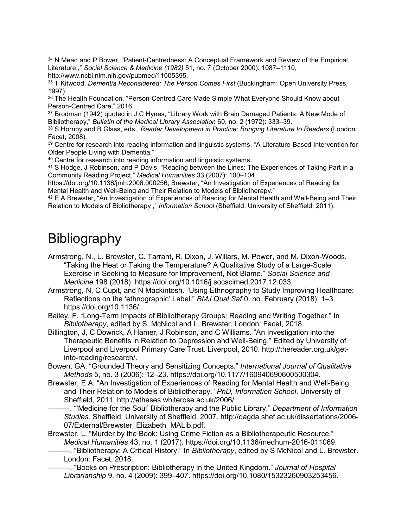34 N Mead and P Bower, "Patient-Centredness: A Conceptual Framework and Review of the Empirical Literature.," *Social Science & Medicine (1982)* 51, no. 7 (October 2000): 1087–1110, http://www.ncbi.nlm.nih.gov/pubmed/11005395.

<sup>35</sup> T Kitwood, *Dementia Reconsidered: The Person Comes First* (Buckingham: Open University Press, 1997).

<sup>36</sup> The Health Foundation, "Person-Centred Care Made Simple What Everyone Should Know about Person-Centred Care," 2016.

<sup>37</sup> Brodman (1942) quoted in J.C Hynes, "Library Work with Brain Damaged Patients: A New Mode of Bibliotherapy," *Bulletin of the Medical Library Association* 60, no. 2 (1972): 333–39.

<sup>38</sup> S Hornby and B Glass, eds., *Reader Development in Practice: Bringing Literature to Readers* (London: Facet, 2008).

<sup>39</sup> Centre for research into reading information and linguistic systems, "A Literature-Based Intervention for Older People Living with Dementia."

<sup>40</sup> Centre for research into reading information and linguistic systems.

<sup>41</sup> S Hodge, J Robinson, and P Davis, "Reading between the Lines: The Experiences of Taking Part in a Community Reading Project," *Medical Humanities* 33 (2007): 100–104,

https://doi.org/10.1136/jmh.2006.000256; Brewster, "An Investigation of Experiences of Reading for Mental Health and Well-Being and Their Relation to Models of Bibliotherapy."

<sup>42</sup> E A Brewster, "An Investigation of Experiences of Reading for Mental Health and Well-Being and Their Relation to Models of Bibliotherapy ," *Information School* (Sheffield: University of Sheffield, 2011).

### **Bibliography**

- Armstrong, N., L. Brewster, C. Tarrant, R. Dixon, J. Willars, M. Power, and M. Dixon-Woods. "Taking the Heat or Taking the Temperature? A Qualitative Study of a Large-Scale Exercise in Seeking to Measure for Improvement, Not Blame." *Social Science and Medicine* 198 (2018). https://doi.org/10.1016/j.socscimed.2017.12.033.
- Armstrong, N, C Cupit, and N Mackintosh. "Using Ethnography to Study Improving Healthcare: Reflections on the 'ethnographic' Label." *BMJ Qual Saf* 0, no. February (2018): 1–3. https://doi.org/10.1136/.

Bailey, F. "Long-Term Impacts of Bibliotherapy Groups: Reading and Writing Together." In *Bibliotherapy*, edited by S. McNicol and L. Brewster. London: Facet, 2018.

- Billington, J, C Dowrick, A Hamer, J Robinson, and C Williams. "An Investigation into the Therapeutic Benefits in Relation to Depression and Well-Being." Edited by University of Liverpool and Liverpool Primary Care Trust. Liverpool, 2010. http://thereader.org.uk/getinto-reading/research/.
- Bowen, GA. "Grounded Theory and Sensitizing Concepts." *International Journal of Qualitative Methods* 5, no. 3 (2006): 12–23. https://doi.org/10.1177/160940690600500304.
- Brewster, E A. "An Investigation of Experiences of Reading for Mental Health and Well-Being and Their Relation to Models of Bibliotherapy." *PhD, Information School*. University of Sheffield, 2011. http://etheses.whiterose.ac.uk/2006/.
	- ———. "'Medicine for the Soul' Bibliotherapy and the Public Library." *Department of Information Studies*. Sheffield: University of Sheffield, 2007. http://dagda.shef.ac.uk/dissertations/2006- 07/External/Brewster\_Elizabeth\_MALib.pdf.
- Brewster, L. "Murder by the Book: Using Crime Fiction as a Bibliotherapeutic Resource." *Medical Humanities* 43, no. 1 (2017). https://doi.org/10.1136/medhum-2016-011069.
	- ———. "Bibliotherapy: A Critical History." In *Bibliotherapy*, edited by S McNicol and L. Brewster. London: Facet, 2018.
	- ———. "Books on Prescription: Bibliotherapy in the United Kingdom." *Journal of Hospital Librarianship* 9, no. 4 (2009): 399–407. https://doi.org/10.1080/15323260903253456.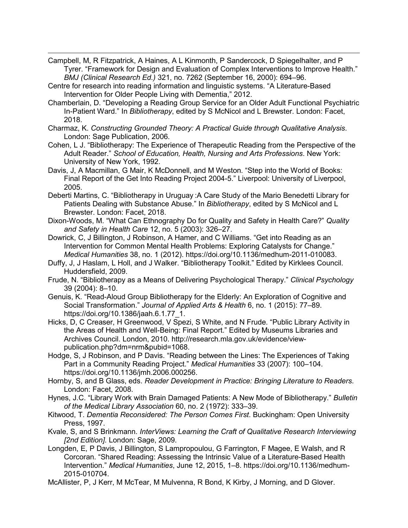- $\overline{a}$ Campbell, M, R Fitzpatrick, A Haines, A L Kinmonth, P Sandercock, D Spiegelhalter, and P Tyrer. "Framework for Design and Evaluation of Complex Interventions to Improve Health." *BMJ (Clinical Research Ed.)* 321, no. 7262 (September 16, 2000): 694–96.
- Centre for research into reading information and linguistic systems. "A Literature-Based Intervention for Older People Living with Dementia," 2012.
- Chamberlain, D. "Developing a Reading Group Service for an Older Adult Functional Psychiatric In-Patient Ward." In *Bibliotherapy*, edited by S McNicol and L Brewster. London: Facet, 2018.
- Charmaz, K. *Constructing Grounded Theory: A Practical Guide through Qualitative Analysis*. London: Sage Publication, 2006.
- Cohen, L J. "Bibliotherapy: The Experience of Therapeutic Reading from the Perspective of the Adult Reader." *School of Education, Health, Nursing and Arts Professions*. New York: University of New York, 1992.
- Davis, J, A Macmillan, G Mair, K McDonnell, and M Weston. "Step into the World of Books: Final Report of the Get Into Reading Project 2004-5." Liverpool: University of Liverpool, 2005.
- Deberti Martins, C. "Bibliotherapy in Uruguay :A Care Study of the Mario Benedetti Library for Patients Dealing with Substance Abuse." In *Bibliotherapy*, edited by S McNicol and L Brewster. London: Facet, 2018.
- Dixon-Woods, M. "What Can Ethnography Do for Quality and Safety in Health Care?" *Quality and Safety in Health Care* 12, no. 5 (2003): 326–27.
- Dowrick, C, J Billington, J Robinson, A Hamer, and C Williams. "Get into Reading as an Intervention for Common Mental Health Problems: Exploring Catalysts for Change." *Medical Humanities* 38, no. 1 (2012). https://doi.org/10.1136/medhum-2011-010083.
- Duffy, J, J Haslam, L Holl, and J Walker. "Bibliotherapy Toolkit." Edited by Kirklees Council. Huddersfield, 2009.
- Frude, N. "Bibliotherapy as a Means of Delivering Psychological Therapy." *Clinical Psychology* 39 (2004): 8–10.
- Genuis, K. "Read-Aloud Group Bibliotherapy for the Elderly: An Exploration of Cognitive and Social Transformation." *Journal of Applied Arts & Health* 6, no. 1 (2015): 77–89. https://doi.org/10.1386/jaah.6.1.77\_1.
- Hicks, D, C Creaser, H Greenwood, V Spezi, S White, and N Frude. "Public Library Activity in the Areas of Health and Well-Being: Final Report." Edited by Museums Libraries and Archives Council. London, 2010. http://research.mla.gov.uk/evidence/viewpublication.php?dm=nrm&pubid=1068.
- Hodge, S, J Robinson, and P Davis. "Reading between the Lines: The Experiences of Taking Part in a Community Reading Project." *Medical Humanities* 33 (2007): 100–104. https://doi.org/10.1136/jmh.2006.000256.
- Hornby, S, and B Glass, eds. *Reader Development in Practice: Bringing Literature to Readers*. London: Facet, 2008.
- Hynes, J.C. "Library Work with Brain Damaged Patients: A New Mode of Bibliotherapy." *Bulletin of the Medical Library Association* 60, no. 2 (1972): 333–39.
- Kitwood, T. *Dementia Reconsidered: The Person Comes First*. Buckingham: Open University Press, 1997.
- Kvale, S, and S Brinkmann. *InterViews: Learning the Craft of Qualitative Research Interviewing [2nd Edition]*. London: Sage, 2009.
- Longden, E, P Davis, J Billington, S Lampropoulou, G Farrington, F Magee, E Walsh, and R Corcoran. "Shared Reading: Assessing the Intrinsic Value of a Literature-Based Health Intervention." *Medical Humanities*, June 12, 2015, 1–8. https://doi.org/10.1136/medhum-2015-010704.
- McAllister, P, J Kerr, M McTear, M Mulvenna, R Bond, K Kirby, J Morning, and D Glover.